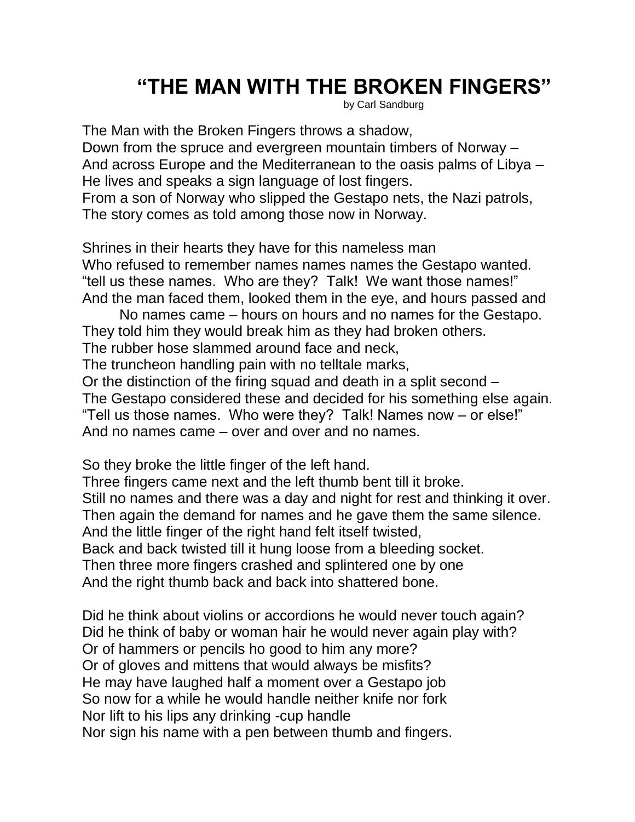## **"THE MAN WITH THE BROKEN FINGERS"**

by Carl Sandburg

The Man with the Broken Fingers throws a shadow, Down from the spruce and evergreen mountain timbers of Norway – And across Europe and the Mediterranean to the oasis palms of Libya – He lives and speaks a sign language of lost fingers. From a son of Norway who slipped the Gestapo nets, the Nazi patrols, The story comes as told among those now in Norway.

Shrines in their hearts they have for this nameless man Who refused to remember names names names the Gestapo wanted. "tell us these names. Who are they? Talk! We want those names!" And the man faced them, looked them in the eye, and hours passed and

No names came – hours on hours and no names for the Gestapo. They told him they would break him as they had broken others.

The rubber hose slammed around face and neck,

The truncheon handling pain with no telltale marks,

Or the distinction of the firing squad and death in a split second – The Gestapo considered these and decided for his something else again. "Tell us those names. Who were they? Talk! Names now – or else!" And no names came – over and over and no names.

So they broke the little finger of the left hand.

Three fingers came next and the left thumb bent till it broke. Still no names and there was a day and night for rest and thinking it over. Then again the demand for names and he gave them the same silence. And the little finger of the right hand felt itself twisted, Back and back twisted till it hung loose from a bleeding socket. Then three more fingers crashed and splintered one by one And the right thumb back and back into shattered bone.

Did he think about violins or accordions he would never touch again? Did he think of baby or woman hair he would never again play with? Or of hammers or pencils ho good to him any more? Or of gloves and mittens that would always be misfits? He may have laughed half a moment over a Gestapo job So now for a while he would handle neither knife nor fork Nor lift to his lips any drinking -cup handle Nor sign his name with a pen between thumb and fingers.